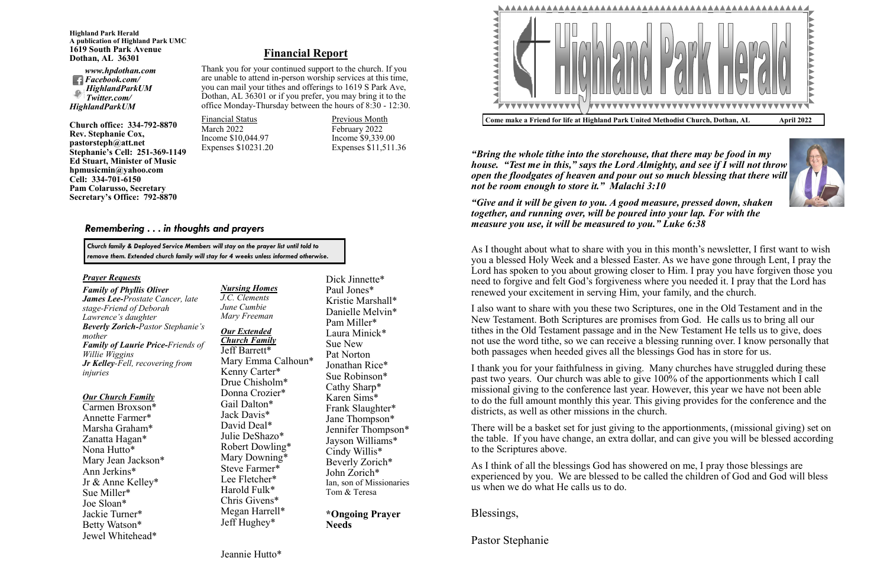#### *Nursing Homes J.C. Clements*

*June Cumbie Mary Freeman*

#### *Our Extended Church Family*

Jeff Barrett\* Mary Emma Calhoun\* Kenny Carter\* Drue Chisholm\* Donna Crozier\* Gail Dalton\* Jack Davis\* David Deal\* Julie DeShazo\* Robert Dowling\* Mary Downing\* Steve Farmer\* Lee Fletcher\* Harold Fulk\* Chris Givens\* Megan Harrell\* Jeff Hughey\*



Dick Jinnette\* Paul Jones\* Kristie Marshall\* Danielle Melvin\* Pam Miller\* Laura Minick\* Sue New Pat Norton Jonathan Rice\* Sue Robinson\* Cathy Sharp\* Karen Sims\* Frank Slaughter\* Jane Thompson\* Jennifer Thompson\* Jayson Williams\* Cindy Willis\* Beverly Zorich\* John Zorich\* Ian, son of Missionaries Tom & Teresa

**\*Ongoing Prayer Needs**

#### *Prayer Requests*

*Family of Phyllis Oliver James Lee-Prostate Cancer, late stage-Friend of Deborah Lawrence's daughter Beverly Zorich-Pastor Stephanie's mother Family of Laurie Price-Friends of Willie Wiggins Jr Kelley-Fell, recovering from injuries*

#### *Our Church Family*

Carmen Broxson\* Annette Farmer\* Marsha Graham\* Zanatta Hagan\* Nona Hutto\* Mary Jean Jackson\* Ann Jerkins\* Jr & Anne Kelley\* Sue Miller\* Joe Sloan\* Jackie Turner\* Betty Watson\* Jewel Whitehead\*

## *Remembering . . . in thoughts and prayers*



*"Bring the whole tithe into the storehouse, that there may be food in my house. "Test me in this," says the Lord Almighty, and see if I will not throw open the floodgates of heaven and pour out so much blessing that there will not be room enough to store it." Malachi 3:10*

*"Give and it will be given to you. A good measure, pressed down, shaken together, and running over, will be poured into your lap. For with the measure you use, it will be measured to you." Luke 6:38*

As I thought about what to share with you in this month's newsletter, I first want to wish you a blessed Holy Week and a blessed Easter. As we have gone through Lent, I pray the Lord has spoken to you about growing closer to Him. I pray you have forgiven those you need to forgive and felt God's forgiveness where you needed it. I pray that the Lord has renewed your excitement in serving Him, your family, and the church.

I also want to share with you these two Scriptures, one in the Old Testament and in the New Testament. Both Scriptures are promises from God. He calls us to bring all our tithes in the Old Testament passage and in the New Testament He tells us to give, does not use the word tithe, so we can receive a blessing running over. I know personally that both passages when heeded gives all the blessings God has in store for us.

I thank you for your faithfulness in giving. Many churches have struggled during these past two years. Our church was able to give 100% of the apportionments which I call missional giving to the conference last year. However, this year we have not been able to do the full amount monthly this year. This giving provides for the conference and the districts, as well as other missions in the church.

There will be a basket set for just giving to the apportionments, (missional giving) set on the table. If you have change, an extra dollar, and can give you will be blessed according to the Scriptures above.

As I think of all the blessings God has showered on me, I pray those blessings are experienced by you. We are blessed to be called the children of God and God will bless us when we do what He calls us to do.

Blessings,

Pastor Stephanie

**Highland Park Herald A publication of Highland Park UMC 1619 South Park Avenue Dothan, AL 36301**

*www.hpdothan.com Facebook.com/ HighlandParkUM Twitter.com/ HighlandParkUM* 

**Church office: 334-792-8870 Rev. Stephanie Cox, pastorsteph@att.net Stephanie's Cell: 251-369-1149 Ed Stuart, Minister of Music hpmusicmin@yahoo.com Cell: 334-701-6150 Pam Colarusso, Secretary Secretary's Office: 792-8870**

> *Church family & Deployed Service Members will stay on the prayer list until told to remove them. Extended church family will stay for 4 weeks unless informed otherwise.*

## **Financial Report**

Thank you for your continued support to the church. If you are unable to attend in-person worship services at this time, you can mail your tithes and offerings to 1619 S Park Ave, Dothan, AL 36301 or if you prefer, you may bring it to the office Monday-Thursday between the hours of 8:30 - 12:30.

Financial Status **Previous Month** March 2022 February 2022 Income \$10,044.97 Income \$9,339.00<br>Expenses \$10231.20 Expenses \$11,511.

Expenses  $$11,511.36$